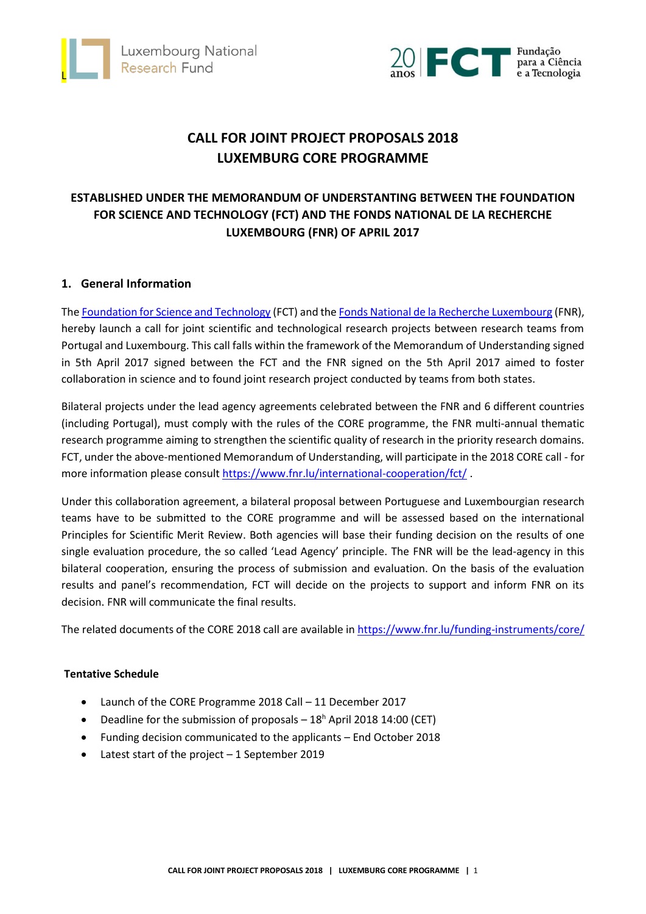



# **CALL FOR JOINT PROJECT PROPOSALS 2018 LUXEMBURG CORE PROGRAMME**

# **ESTABLISHED UNDER THE MEMORANDUM OF UNDERSTANTING BETWEEN THE FOUNDATION FOR SCIENCE AND TECHNOLOGY (FCT) AND THE FONDS NATIONAL DE LA RECHERCHE LUXEMBOURG (FNR) OF APRIL 2017**

# **1. General Information**

Th[e Foundation for Science and Technology](https://www.fct.pt/index.phtml.en) (FCT) and the Fonds [National de la Recherche](https://www.fnr.lu/) Luxembourg (FNR), hereby launch a call for joint scientific and technological research projects between research teams from Portugal and Luxembourg. This call falls within the framework of the Memorandum of Understanding signed in 5th April 2017 signed between the FCT and the FNR signed on the 5th April 2017 aimed to foster collaboration in science and to found joint research project conducted by teams from both states.

Bilateral projects under the lead agency agreements celebrated between the FNR and 6 different countries (including Portugal), must comply with the rules of the CORE programme, the FNR multi-annual thematic research programme aiming to strengthen the scientific quality of research in the priority research domains. FCT, under the above-mentioned Memorandum of Understanding, will participate in the 2018 CORE call - for more information please consult<https://www.fnr.lu/international-cooperation/fct/> .

Under this collaboration agreement, a bilateral proposal between Portuguese and Luxembourgian research teams have to be submitted to the [CORE programme](https://www.fnr.lu/funding-instruments/core/) and will be assessed based on the international [Principles for Scientific Merit Review.](http://storage.fnr.lu/index.php/s/9Lm2utS4bl0980V) Both agencies will base their funding decision on the results of one single evaluation procedure, the so called 'Lead Agency' principle. The FNR will be the lead-agency in this bilateral cooperation, ensuring the process of submission and evaluation. On the basis of the evaluation results and panel's recommendation, FCT will decide on the projects to support and inform FNR on its decision. FNR will communicate the final results.

The related documents of the CORE 2018 call are available i[n https://www.fnr.lu/funding-instruments/core/](https://www.fnr.lu/funding-instruments/core/)

#### **Tentative Schedule**

- Launch of the CORE Programme 2018 Call 11 December 2017
- Deadline for the submission of proposals  $-18<sup>h</sup>$  April 2018 14:00 (CET)
- Funding decision communicated to the applicants End October 2018
- Latest start of the project 1 September 2019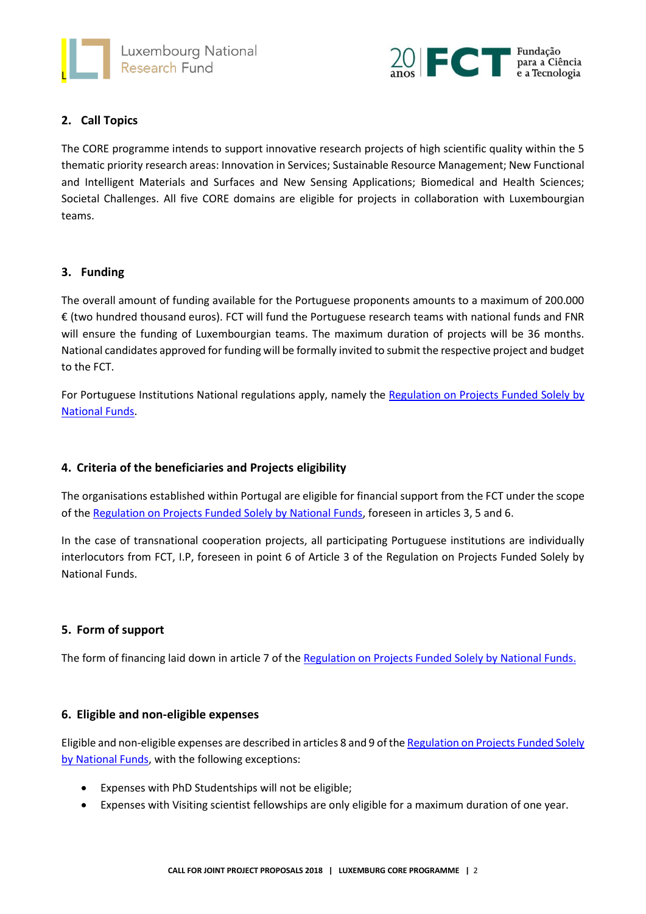



# **2. Call Topics**

The CORE programme intends to support innovative research projects of high scientific quality within the 5 thematic priority research areas: Innovation in Services; Sustainable Resource Management; New Functional and Intelligent Materials and Surfaces and New Sensing Applications; Biomedical and Health Sciences; Societal Challenges. All five CORE domains are eligible for projects in collaboration with Luxembourgian teams.

#### **3. Funding**

The overall amount of funding available for the Portuguese proponents amounts to a maximum of 200.000 € (two hundred thousand euros). FCT will fund the Portuguese research teams with national funds and FNR will ensure the funding of Luxembourgian teams. The maximum duration of projects will be 36 months. National candidates approved for funding will be formally invited to submit the respective project and budget to the FCT.

For Portuguese Institutions National regulations apply, namely the [Regulation on Projects Funded Solely by](https://www.fct.pt/apoios/projectos/regulamentofundosnacionais.phtml.en)  [National Funds.](https://www.fct.pt/apoios/projectos/regulamentofundosnacionais.phtml.en)

# **4. Criteria of the beneficiaries and Projects eligibility**

The organisations established within Portugal are eligible for financial support from the FCT under the scope of the [Regulation on Projects Funded Solely by National Funds,](https://www.fct.pt/apoios/projectos/regulamentofundosnacionais.phtml.en) foreseen in articles 3, 5 and 6.

In the case of transnational cooperation projects, all participating Portuguese institutions are individually interlocutors from FCT, I.P, foreseen in point 6 of Article 3 of the Regulation on Projects Funded Solely by National Funds.

#### **5. Form of support**

The form of financing laid down in article 7 of th[e Regulation on Projects Funded Solely by National Funds.](https://www.fct.pt/apoios/projectos/regulamentofundosnacionais.phtml.en)

#### **6. Eligible and non-eligible expenses**

Eligible and non-eligible expenses are described in articles 8 and 9 of th[e Regulation on Projects](https://www.fct.pt/apoios/projectos/regulamentofundosnacionais.phtml.en) Funded Solely [by National Funds,](https://www.fct.pt/apoios/projectos/regulamentofundosnacionais.phtml.en) with the following exceptions:

- Expenses with PhD Studentships will not be eligible;
- Expenses with Visiting scientist fellowships are only eligible for a maximum duration of one year.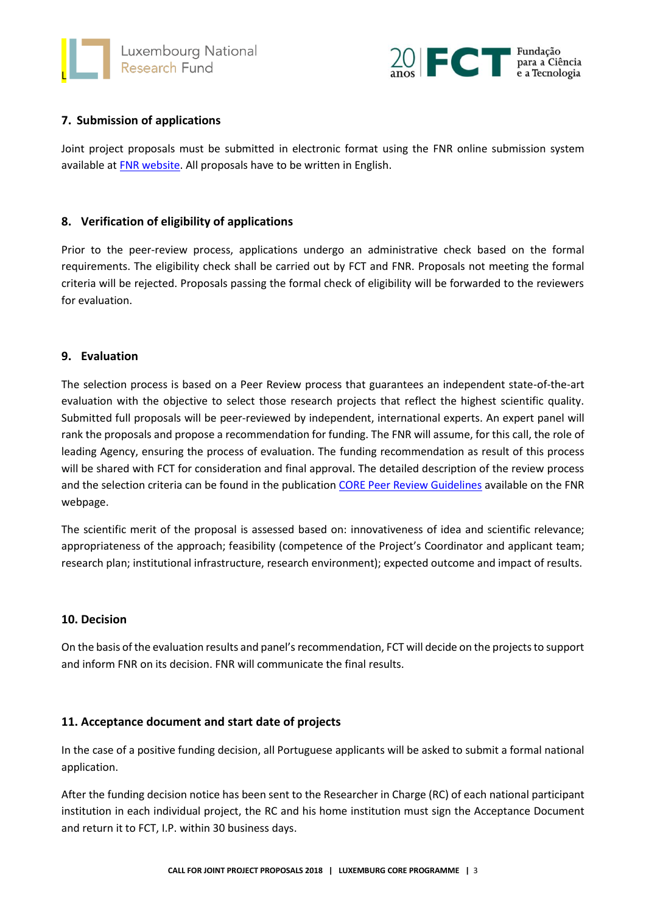



# **7. Submission of applications**

Joint project proposals must be submitted in electronic format using the FNR online submission system available at [FNR website.](https://grants.fnr.lu/) All proposals have to be written in English.

# **8. Verification of eligibility of applications**

Prior to the peer-review process, applications undergo an administrative check based on the formal requirements. The eligibility check shall be carried out by FCT and FNR. Proposals not meeting the formal criteria will be rejected. Proposals passing the formal check of eligibility will be forwarded to the reviewers for evaluation.

#### **9. Evaluation**

The selection process is based on a Peer Review process that guarantees an independent state-of-the-art evaluation with the objective to select those research projects that reflect the highest scientific quality. Submitted full proposals will be peer-reviewed by independent, international experts. An expert panel will rank the proposals and propose a recommendation for funding. The FNR will assume, for this call, the role of leading Agency, ensuring the process of evaluation. The funding recommendation as result of this process will be shared with FCT for consideration and final approval. The detailed description of the review process and the selection criteria can be found in the publication CORE [Peer Review Guidelines](https://www.fnr.lu/funding-instruments/core/) available on the FNR webpage.

The scientific merit of the proposal is assessed based on: innovativeness of idea and scientific relevance; appropriateness of the approach; feasibility (competence of the Project's Coordinator and applicant team; research plan; institutional infrastructure, research environment); expected outcome and impact of results.

# **10. Decision**

On the basis of the evaluation results and panel's recommendation, FCT will decide on the projects to support and inform FNR on its decision. FNR will communicate the final results.

# **11. Acceptance document and start date of projects**

In the case of a positive funding decision, all Portuguese applicants will be asked to submit a formal national application.

After the funding decision notice has been sent to the Researcher in Charge (RC) of each national participant institution in each individual project, the RC and his home institution must sign the Acceptance Document and return it to FCT, I.P. within 30 business days.